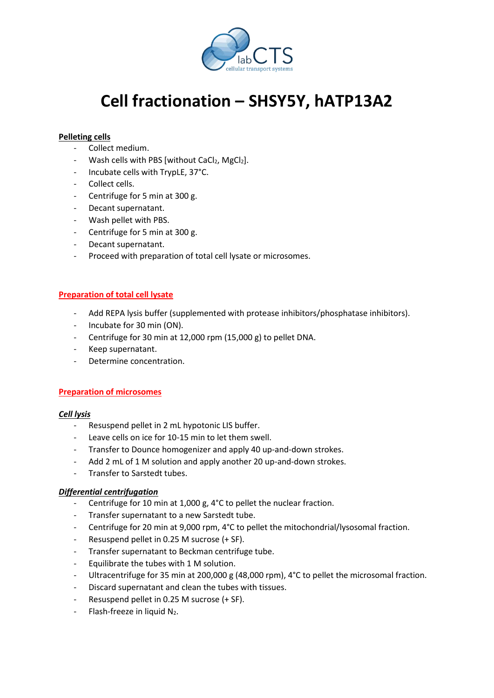

# **Cell fractionation – SHSY5Y, hATP13A2**

# **Pelleting cells**

- Collect medium.
- Wash cells with PBS [without CaCl<sub>2</sub>, MgCl<sub>2</sub>].
- Incubate cells with TrypLE, 37°C.
- Collect cells.
- Centrifuge for 5 min at 300 g.
- Decant supernatant.
- Wash pellet with PBS.
- Centrifuge for 5 min at 300 g.
- Decant supernatant.
- Proceed with preparation of total cell lysate or microsomes.

## **Preparation of total cell lysate**

- Add REPA lysis buffer (supplemented with protease inhibitors/phosphatase inhibitors).
- Incubate for 30 min (ON).
- Centrifuge for 30 min at 12,000 rpm (15,000 g) to pellet DNA.
- Keep supernatant.
- Determine concentration.

#### **Preparation of microsomes**

#### *Cell lysis*

- Resuspend pellet in 2 mL hypotonic LIS buffer.
- Leave cells on ice for 10-15 min to let them swell.
- Transfer to Dounce homogenizer and apply 40 up-and-down strokes.
- Add 2 mL of 1 M solution and apply another 20 up-and-down strokes.
- Transfer to Sarstedt tubes.

## *Differential centrifugation*

- Centrifuge for 10 min at 1,000 g, 4°C to pellet the nuclear fraction.
- Transfer supernatant to a new Sarstedt tube.
- Centrifuge for 20 min at 9,000 rpm, 4°C to pellet the mitochondrial/lysosomal fraction.
- Resuspend pellet in 0.25 M sucrose (+ SF).
- Transfer supernatant to Beckman centrifuge tube.
- Equilibrate the tubes with 1 M solution.
- Ultracentrifuge for 35 min at 200,000 g (48,000 rpm), 4°C to pellet the microsomal fraction.
- Discard supernatant and clean the tubes with tissues.
- Resuspend pellet in 0.25 M sucrose (+ SF).
- Flash-freeze in liquid N2.